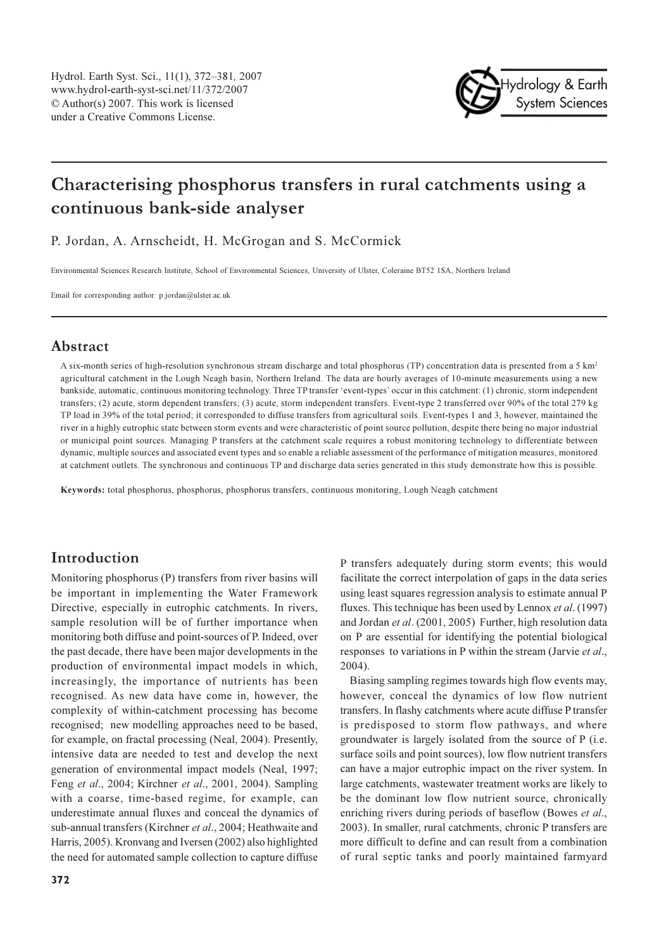

# Characterising phosphorus transfers in rural catchments using a continuous bank-side analyser

P. Jordan, A. Arnscheidt, H. McGrogan and S. McCormick

Environmental Sciences Research Institute, School of Environmental Sciences, University of Ulster, Coleraine BT52 1SA, Northern Ireland

Email for corresponding author:  $p$  jordan@ulster.ac.uk

## **Abstract**

A six-month series of high-resolution synchronous stream discharge and total phosphorus (TP) concentration data is presented from a 5 km<sup>2</sup> agricultural catchment in the Lough Neagh basin, Northern Ireland. The data are hourly averages of 10-minute measurements using a new bankside, automatic, continuous monitoring technology. Three TP transfer 'event-types' occur in this catchment: (1) chronic, storm independent transfers; (2) acute, storm dependent transfers; (3) acute, storm independent transfers. Event-type 2 transferred over 90% of the total 279 kg TP load in 39% of the total period; it corresponded to diffuse transfers from agricultural soils. Event-types 1 and 3, however, maintained the river in a highly eutrophic state between storm events and were characteristic of point source pollution, despite there being no major industrial or municipal point sources. Managing P transfers at the catchment scale requires a robust monitoring technology to differentiate between dynamic, multiple sources and associated event types and so enable a reliable assessment of the performance of mitigation measures, monitored at catchment outlets. The synchronous and continuous TP and discharge data series generated in this study demonstrate how this is possible.

Keywords: total phosphorus, phosphorus, phosphorus transfers, continuous monitoring, Lough Neagh catchment

### Introduction

Monitoring phosphorus (P) transfers from river basins will be important in implementing the Water Framework Directive, especially in eutrophic catchments. In rivers, sample resolution will be of further importance when monitoring both diffuse and point-sources of P. Indeed, over the past decade, there have been major developments in the production of environmental impact models in which, increasingly, the importance of nutrients has been recognised. As new data have come in, however, the complexity of within-catchment processing has become recognised; new modelling approaches need to be based, for example, on fractal processing (Neal, 2004). Presently, intensive data are needed to test and develop the next generation of environmental impact models (Neal, 1997; Feng et al., 2004; Kirchner et al., 2001, 2004). Sampling with a coarse, time-based regime, for example, can underestimate annual fluxes and conceal the dynamics of sub-annual transfers (Kirchner et al., 2004; Heathwaite and Harris, 2005). Kronvang and Iversen (2002) also highlighted the need for automated sample collection to capture diffuse

P transfers adequately during storm events; this would facilitate the correct interpolation of gaps in the data series using least squares regression analysis to estimate annual P fluxes. This technique has been used by Lennox *et al.* (1997) and Jordan et al. (2001, 2005) Further, high resolution data on P are essential for identifying the potential biological responses to variations in P within the stream (Jarvie et al., 2004).

Biasing sampling regimes towards high flow events may, however, conceal the dynamics of low flow nutrient transfers. In flashy catchments where acute diffuse P transfer is predisposed to storm flow pathways, and where groundwater is largely isolated from the source of P (i.e. surface soils and point sources), low flow nutrient transfers can have a major eutrophic impact on the river system. In large catchments, wastewater treatment works are likely to be the dominant low flow nutrient source, chronically enriching rivers during periods of baseflow (Bowes et al., 2003). In smaller, rural catchments, chronic P transfers are more difficult to define and can result from a combination of rural septic tanks and poorly maintained farmyard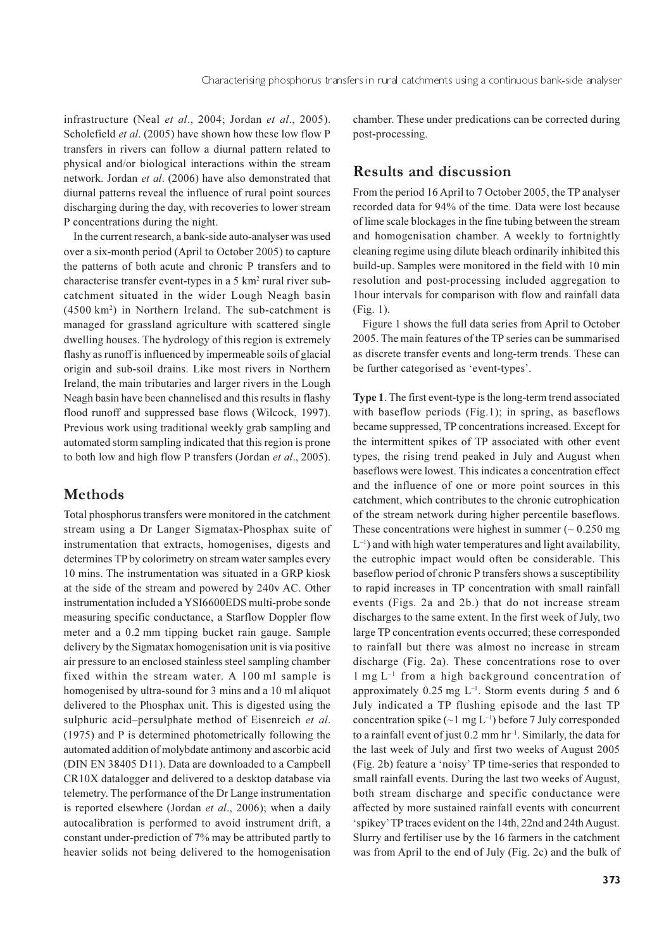infrastructure (Neal et al., 2004; Jordan et al., 2005). Scholefield et al. (2005) have shown how these low flow P transfers in rivers can follow a diurnal pattern related to physical and/or biological interactions within the stream network. Jordan et al. (2006) have also demonstrated that diurnal patterns reveal the influence of rural point sources discharging during the day, with recoveries to lower stream P concentrations during the night.

In the current research, a bank-side auto-analyser was used over a six-month period (April to October 2005) to capture the patterns of both acute and chronic P transfers and to characterise transfer event-types in a 5 km<sup>2</sup> rural river subcatchment situated in the wider Lough Neagh basin  $(4500 \text{ km}^2)$  in Northern Ireland. The sub-catchment is managed for grassland agriculture with scattered single dwelling houses. The hydrology of this region is extremely flashy as runoff is influenced by impermeable soils of glacial origin and sub-soil drains. Like most rivers in Northern Ireland, the main tributaries and larger rivers in the Lough Neagh basin have been channelised and this results in flashy flood runoff and suppressed base flows (Wilcock, 1997). Previous work using traditional weekly grab sampling and automated storm sampling indicated that this region is prone to both low and high flow P transfers (Jordan et al., 2005).

### **Methods**

Total phosphorus transfers were monitored in the catchment stream using a Dr Langer Sigmatax-Phosphax suite of instrumentation that extracts, homogenises, digests and determines TP by colorimetry on stream water samples every 10 mins. The instrumentation was situated in a GRP kiosk at the side of the stream and powered by 240v AC. Other instrumentation included a YSI6600EDS multi-probe sonde measuring specific conductance, a Starflow Doppler flow meter and a 0.2 mm tipping bucket rain gauge. Sample delivery by the Sigmatax homogenisation unit is via positive air pressure to an enclosed stainless steel sampling chamber fixed within the stream water. A 100 ml sample is homogenised by ultra-sound for 3 mins and a 10 ml aliquot delivered to the Phosphax unit. This is digested using the sulphuric acid-persulphate method of Eisenreich et al. (1975) and P is determined photometrically following the automated addition of molybdate antimony and ascorbic acid (DIN EN 38405 D11). Data are downloaded to a Campbell CR10X datalogger and delivered to a desktop database via telemetry. The performance of the Dr Lange instrumentation is reported elsewhere (Jordan et al., 2006); when a daily autocalibration is performed to avoid instrument drift, a constant under-prediction of 7% may be attributed partly to heavier solids not being delivered to the homogenisation

chamber. These under predications can be corrected during post-processing.

#### **Results and discussion**

From the period 16 April to 7 October 2005, the TP analyser recorded data for 94% of the time. Data were lost because of lime scale blockages in the fine tubing between the stream and homogenisation chamber. A weekly to fortnightly cleaning regime using dilute bleach ordinarily inhibited this build-up. Samples were monitored in the field with 10 min resolution and post-processing included aggregation to I hour intervals for comparison with flow and rainfall data  $(Fig. 1)$ .

Figure 1 shows the full data series from April to October 2005. The main features of the TP series can be summarised as discrete transfer events and long-term trends. These can be further categorised as 'event-types'.

Type 1. The first event-type is the long-term trend associated with baseflow periods (Fig.1); in spring, as baseflows became suppressed, TP concentrations increased. Except for the intermittent spikes of TP associated with other event types, the rising trend peaked in July and August when baseflows were lowest. This indicates a concentration effect and the influence of one or more point sources in this catchment, which contributes to the chronic eutrophication of the stream network during higher percentile baseflows. These concentrations were highest in summer  $($  ~ 0.250 mg  $L^{-1}$ ) and with high water temperatures and light availability, the eutrophic impact would often be considerable. This baseflow period of chronic P transfers shows a susceptibility to rapid increases in TP concentration with small rainfall events (Figs. 2a and 2b.) that do not increase stream discharges to the same extent. In the first week of July, two large TP concentration events occurred; these corresponded to rainfall but there was almost no increase in stream discharge (Fig. 2a). These concentrations rose to over  $1$  mg  $L^{-1}$  from a high background concentration of approximately  $0.25$  mg  $L^{-1}$ . Storm events during 5 and 6 July indicated a TP flushing episode and the last TP concentration spike  $(\sim 1 \text{ mg } L^{-1})$  before 7 July corresponded to a rainfall event of just  $0.2 \text{ mm hr}^{-1}$ . Similarly, the data for the last week of July and first two weeks of August 2005 (Fig. 2b) feature a 'noisy' TP time-series that responded to small rainfall events. During the last two weeks of August, both stream discharge and specific conductance were affected by more sustained rainfall events with concurrent 'spikey' TP traces evident on the 14th, 22nd and 24th August. Slurry and fertiliser use by the 16 farmers in the catchment was from April to the end of July (Fig. 2c) and the bulk of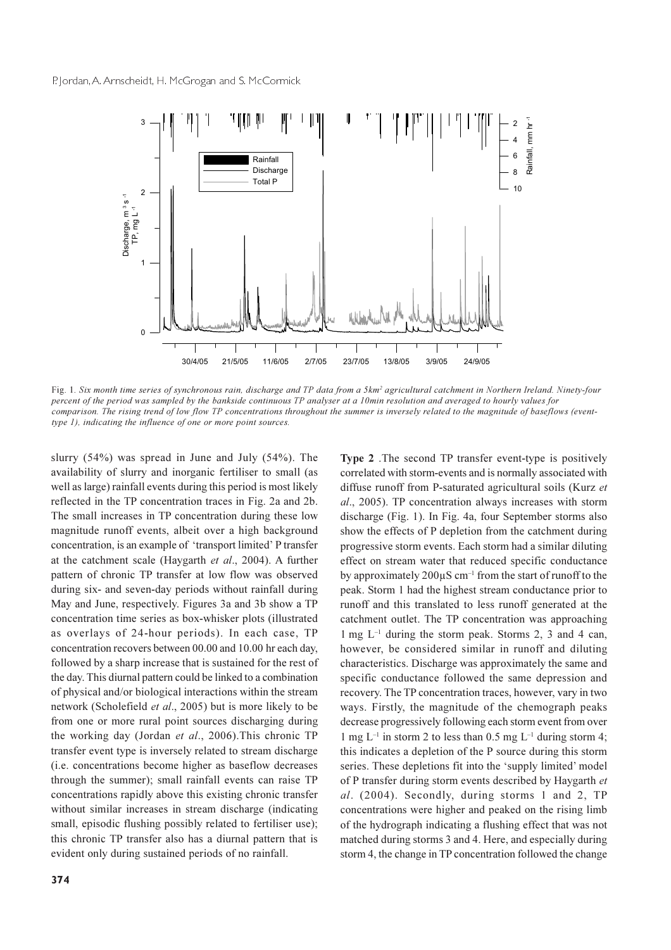

Fig. 1. Six month time series of synchronous rain, discharge and TP data from a 5km<sup>2</sup> agricultural catchment in Northern Ireland. Ninety-four percent of the period was sampled by the bankside continuous TP analyser at a 10min resolution and averaged to hourly values for comparison. The rising trend of low flow TP concentrations throughout the summer is inversely related to the magnitude of baseflows (eventtype 1), indicating the influence of one or more point sources.

slurry  $(54\%)$  was spread in June and July  $(54\%)$ . The availability of slurry and inorganic fertiliser to small (as well as large) rainfall events during this period is most likely reflected in the TP concentration traces in Fig. 2a and 2b. The small increases in TP concentration during these low magnitude runoff events, albeit over a high background concentration, is an example of 'transport limited' P transfer at the catchment scale (Haygarth et al., 2004). A further pattern of chronic TP transfer at low flow was observed during six- and seven-day periods without rainfall during May and June, respectively. Figures 3a and 3b show a TP concentration time series as box-whisker plots (illustrated as overlays of 24-hour periods). In each case, TP concentration recovers between 00.00 and 10.00 hr each day, followed by a sharp increase that is sustained for the rest of the day. This diurnal pattern could be linked to a combination of physical and/or biological interactions within the stream network (Scholefield et al., 2005) but is more likely to be from one or more rural point sources discharging during the working day (Jordan et al., 2006). This chronic TP transfer event type is inversely related to stream discharge (i.e. concentrations become higher as baseflow decreases through the summer); small rainfall events can raise TP concentrations rapidly above this existing chronic transfer without similar increases in stream discharge (indicating small, episodic flushing possibly related to fertiliser use); this chronic TP transfer also has a diurnal pattern that is evident only during sustained periods of no rainfall.

Type 2. The second TP transfer event-type is positively correlated with storm-events and is normally associated with diffuse runoff from P-saturated agricultural soils (Kurz et al., 2005). TP concentration always increases with storm discharge (Fig. 1). In Fig. 4a, four September storms also show the effects of P depletion from the catchment during progressive storm events. Each storm had a similar diluting effect on stream water that reduced specific conductance by approximately 200 $\mu$ S cm<sup>-1</sup> from the start of runoff to the peak. Storm 1 had the highest stream conductance prior to runoff and this translated to less runoff generated at the catchment outlet. The TP concentration was approaching 1 mg  $L^{-1}$  during the storm peak. Storms 2, 3 and 4 can, however, be considered similar in runoff and diluting characteristics. Discharge was approximately the same and specific conductance followed the same depression and recovery. The TP concentration traces, however, vary in two ways. Firstly, the magnitude of the chemograph peaks decrease progressively following each storm event from over 1 mg  $L^{-1}$  in storm 2 to less than 0.5 mg  $L^{-1}$  during storm 4; this indicates a depletion of the P source during this storm series. These depletions fit into the 'supply limited' model of P transfer during storm events described by Haygarth et al. (2004). Secondly, during storms 1 and 2, TP concentrations were higher and peaked on the rising limb of the hydrograph indicating a flushing effect that was not matched during storms 3 and 4. Here, and especially during storm 4, the change in TP concentration followed the change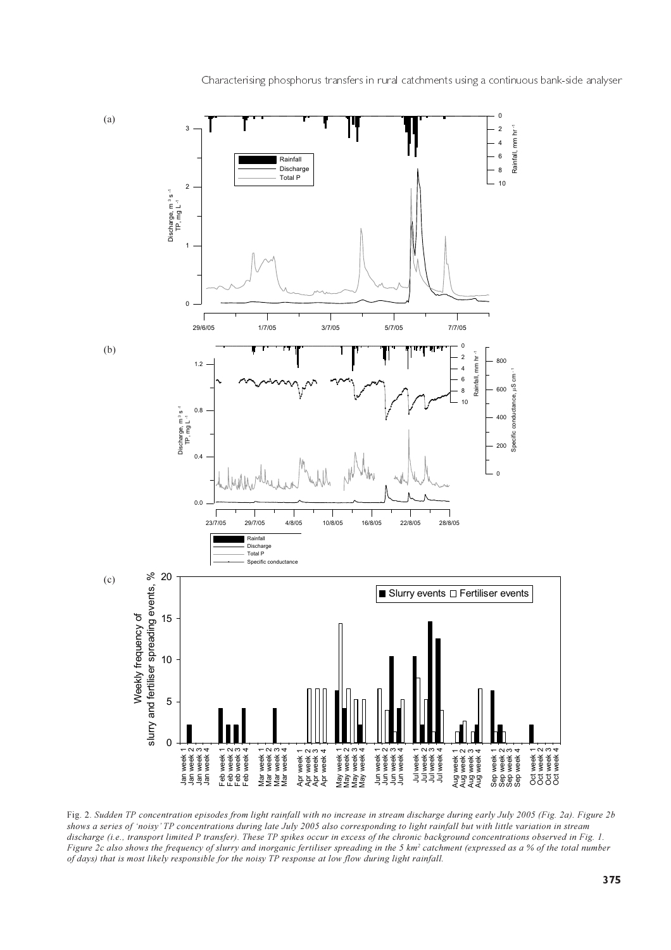

Fig. 2. Sudden TP concentration episodes from light rainfall with no increase in stream discharge during early July 2005 (Fig. 2a). Figure 2b shows a series of 'noisy' TP concentrations during late July 2005 also corresponding to light rainfall but with little variation in stream discharge (i.e., transport limited P transfer). These TP spikes occur in excess of the chronic background concentrations observed in Fig. 1. Figure 2c also shows the frequency of slurry and inorganic fertiliser spreading in the 5 km<sup>2</sup> catchment (expressed as a % of the total number of days) that is most likely responsible for the noisy TP response at low flow during light rainfall.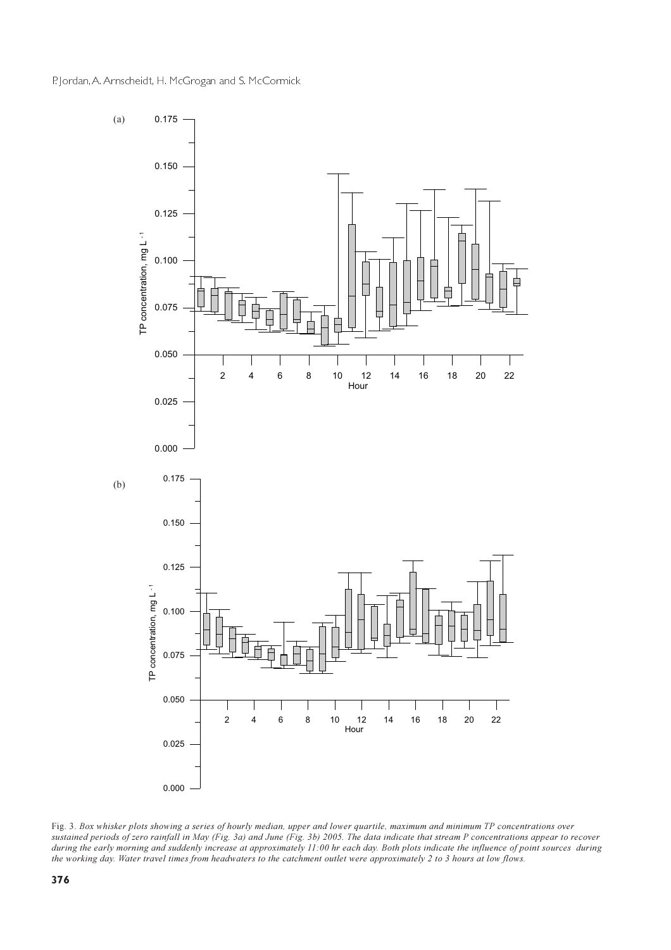

Fig. 3. Box whisker plots showing a series of hourly median, upper and lower quartile, maximum and minimum TP concentrations over sustained periods of zero rainfall in May (Fig. 3a) and June (Fig. 3b) 2005. The data indicate that stream P concentrations appear to recover during the early morning and suddenly increase at approximately 11:00 hr each day. Both plots indicate the influence of point sources during the working day. Water travel times from headwaters to the catchment outlet were approximately 2 to 3 hours at low flows.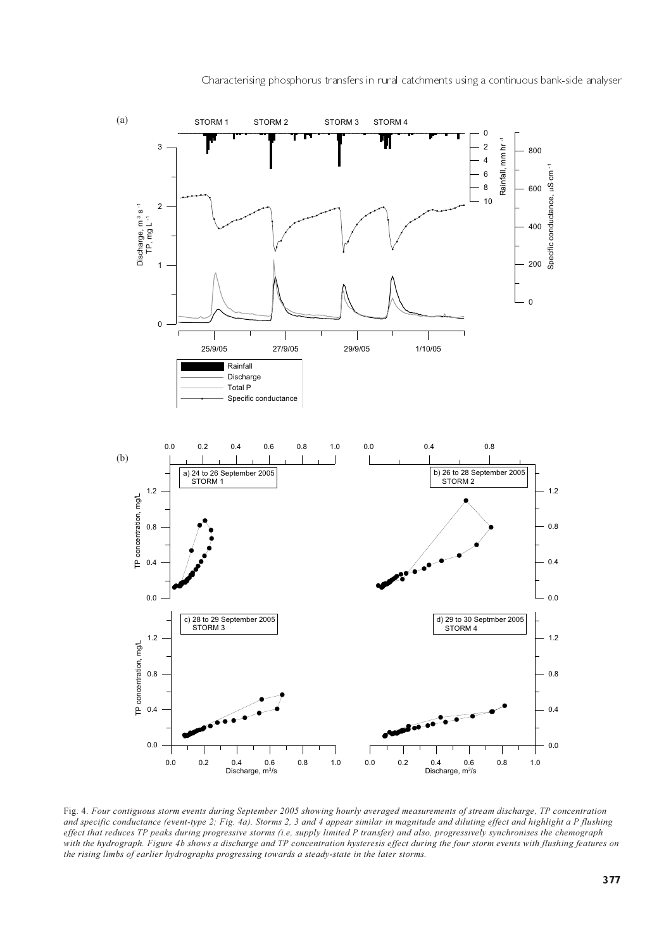

Fig. 4. Four contiguous storm events during September 2005 showing hourly averaged measurements of stream discharge, TP concentration and specific conductance (event-type 2; Fig. 4a). Storms 2, 3 and 4 appear similar in magnitude and diluting effect and highlight a P flushing effect that reduces TP peaks during progressive storms (i.e, supply limited P transfer) and also, progressively synchronises the chemograph with the hydrograph. Figure 4b shows a discharge and TP concentration hysteresis effect during the four storm events with flushing features on the rising limbs of earlier hydrographs progressing towards a steady-state in the later storms.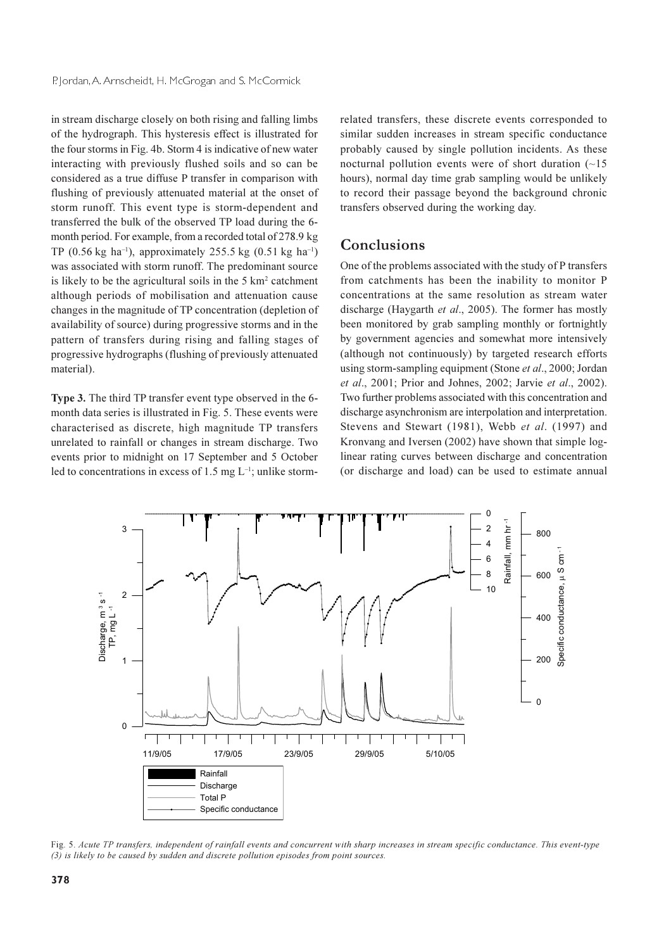in stream discharge closely on both rising and falling limbs of the hydrograph. This hysteresis effect is illustrated for the four storms in Fig. 4b. Storm 4 is indicative of new water interacting with previously flushed soils and so can be considered as a true diffuse P transfer in comparison with flushing of previously attenuated material at the onset of storm runoff. This event type is storm-dependent and transferred the bulk of the observed TP load during the 6month period. For example, from a recorded total of 278.9 kg TP (0.56 kg ha<sup>-1</sup>), approximately 255.5 kg (0.51 kg ha<sup>-1</sup>) was associated with storm runoff. The predominant source is likely to be the agricultural soils in the 5 km<sup>2</sup> catchment although periods of mobilisation and attenuation cause changes in the magnitude of TP concentration (depletion of availability of source) during progressive storms and in the pattern of transfers during rising and falling stages of progressive hydrographs (flushing of previously attenuated material).

Type 3. The third TP transfer event type observed in the 6month data series is illustrated in Fig. 5. These events were characterised as discrete, high magnitude TP transfers unrelated to rainfall or changes in stream discharge. Two events prior to midnight on 17 September and 5 October led to concentrations in excess of 1.5 mg  $L^{-1}$ ; unlike stormrelated transfers, these discrete events corresponded to similar sudden increases in stream specific conductance probably caused by single pollution incidents. As these nocturnal pollution events were of short duration  $(-15)$ hours), normal day time grab sampling would be unlikely to record their passage beyond the background chronic transfers observed during the working day.

#### Conclusions

One of the problems associated with the study of P transfers from catchments has been the inability to monitor P concentrations at the same resolution as stream water discharge (Haygarth et al., 2005). The former has mostly been monitored by grab sampling monthly or fortnightly by government agencies and somewhat more intensively (although not continuously) by targeted research efforts using storm-sampling equipment (Stone et al., 2000; Jordan et al., 2001; Prior and Johnes, 2002; Jarvie et al., 2002). Two further problems associated with this concentration and discharge asynchronism are interpolation and interpretation. Stevens and Stewart (1981), Webb et al. (1997) and Kronvang and Iversen (2002) have shown that simple loglinear rating curves between discharge and concentration (or discharge and load) can be used to estimate annual



Fig. 5. Acute TP transfers, independent of rainfall events and concurrent with sharp increases in stream specific conductance. This event-type  $(3)$  is likely to be caused by sudden and discrete pollution episodes from point sources.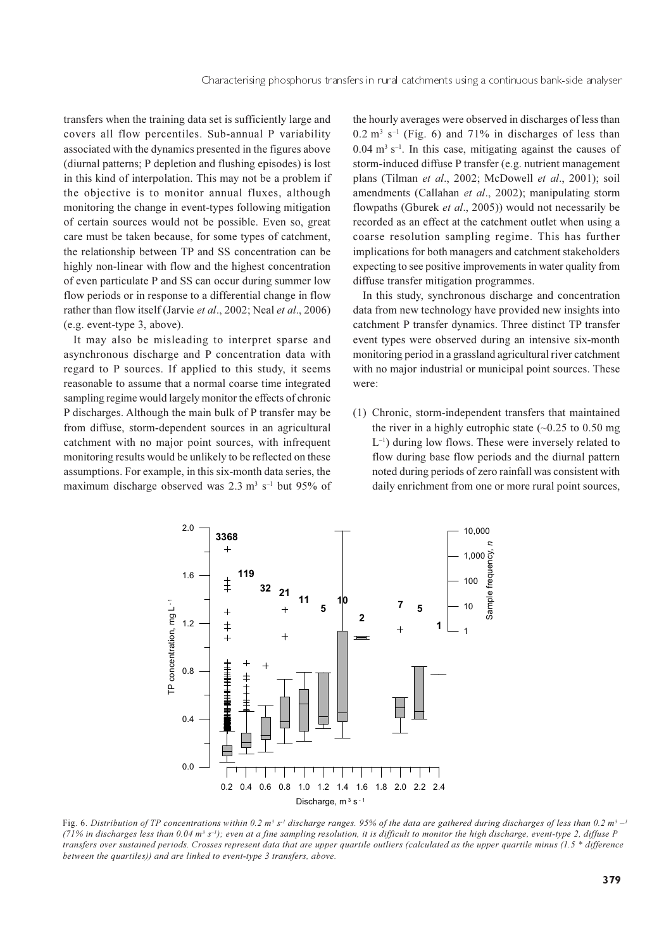transfers when the training data set is sufficiently large and covers all flow percentiles. Sub-annual P variability associated with the dynamics presented in the figures above (diurnal patterns; P depletion and flushing episodes) is lost in this kind of interpolation. This may not be a problem if the objective is to monitor annual fluxes, although monitoring the change in event-types following mitigation of certain sources would not be possible. Even so, great care must be taken because, for some types of catchment, the relationship between TP and SS concentration can be highly non-linear with flow and the highest concentration of even particulate P and SS can occur during summer low flow periods or in response to a differential change in flow rather than flow itself (Jarvie et al., 2002; Neal et al., 2006) (e.g. event-type 3, above).

It may also be misleading to interpret sparse and asynchronous discharge and P concentration data with regard to P sources. If applied to this study, it seems reasonable to assume that a normal coarse time integrated sampling regime would largely monitor the effects of chronic P discharges. Although the main bulk of P transfer may be from diffuse, storm-dependent sources in an agricultural catchment with no major point sources, with infrequent monitoring results would be unlikely to be reflected on these assumptions. For example, in this six-month data series, the maximum discharge observed was 2.3 m<sup>3</sup> s<sup>-1</sup> but 95% of the hourly averages were observed in discharges of less than  $0.2$  m<sup>3</sup> s<sup>-1</sup> (Fig. 6) and 71% in discharges of less than  $0.04$  m<sup>3</sup> s<sup>-1</sup>. In this case, mitigating against the causes of storm-induced diffuse P transfer (e.g. nutrient management plans (Tilman et al., 2002; McDowell et al., 2001); soil amendments (Callahan et al., 2002); manipulating storm flowpaths (Gburek et al., 2005)) would not necessarily be recorded as an effect at the catchment outlet when using a coarse resolution sampling regime. This has further implications for both managers and catchment stakeholders expecting to see positive improvements in water quality from diffuse transfer mitigation programmes.

In this study, synchronous discharge and concentration data from new technology have provided new insights into catchment P transfer dynamics. Three distinct TP transfer event types were observed during an intensive six-month monitoring period in a grassland agricultural river catchment with no major industrial or municipal point sources. These were:

(1) Chronic, storm-independent transfers that maintained the river in a highly eutrophic state  $(-0.25 \text{ to } 0.50 \text{ mg})$  $L^{-1}$ ) during low flows. These were inversely related to flow during base flow periods and the diurnal pattern noted during periods of zero rainfall was consistent with daily enrichment from one or more rural point sources,



Fig. 6. Distribution of TP concentrations within 0.2  $m^3 s^1$  discharge ranges. 95% of the data are gathered during discharges of less than 0.2  $m^3 - 1$ (71% in discharges less than  $0.04 \text{ m}^3$  s<sup>-1</sup>); even at a fine sampling resolution, it is difficult to monitor the high discharge, event-type 2, diffuse P transfers over sustained periods. Crosses represent data that are upper quartile outliers (calculated as the upper quartile minus (1.5 \* difference between the quartiles)) and are linked to event-type 3 transfers, above.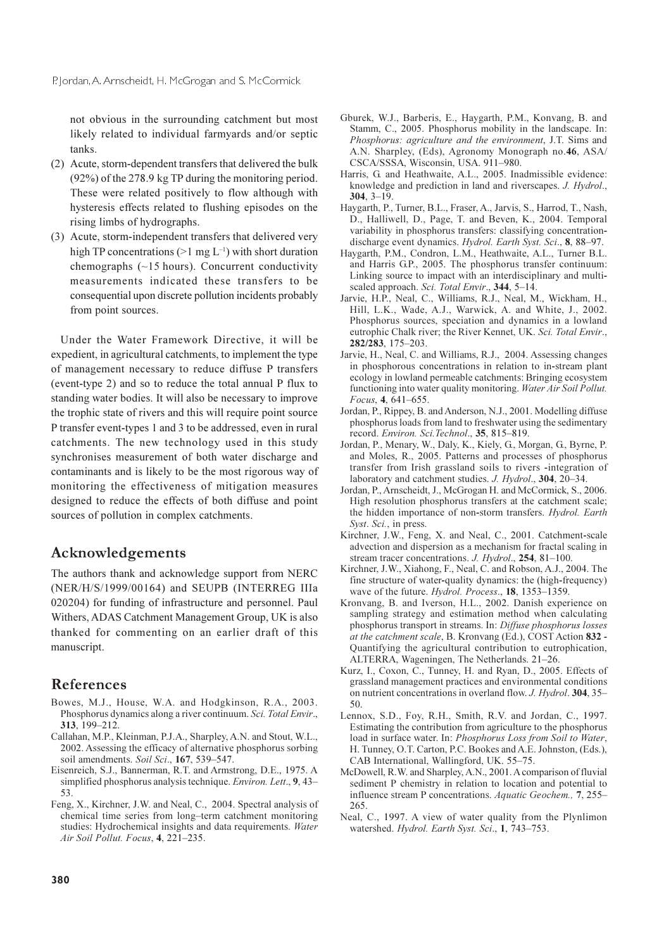not obvious in the surrounding catchment but most likely related to individual farmyards and/or septic tanks.

- (2) Acute, storm-dependent transfers that delivered the bulk  $(92%)$  of the 278.9 kg TP during the monitoring period. These were related positively to flow although with hysteresis effects related to flushing episodes on the rising limbs of hydrographs.
- (3) Acute, storm-independent transfers that delivered very high TP concentrations ( $>1$  mg L<sup>-1</sup>) with short duration chemographs  $(\sim 15$  hours). Concurrent conductivity measurements indicated these transfers to be consequential upon discrete pollution incidents probably from point sources.

Under the Water Framework Directive, it will be expedient, in agricultural catchments, to implement the type of management necessary to reduce diffuse P transfers (event-type 2) and so to reduce the total annual P flux to standing water bodies. It will also be necessary to improve the trophic state of rivers and this will require point source P transfer event-types 1 and 3 to be addressed, even in rural catchments. The new technology used in this study synchronises measurement of both water discharge and contaminants and is likely to be the most rigorous way of monitoring the effectiveness of mitigation measures designed to reduce the effects of both diffuse and point sources of pollution in complex catchments.

#### Acknowledgements

The authors thank and acknowledge support from NERC (NER/H/S/1999/00164) and SEUPB (INTERREG IIIa 020204) for funding of infrastructure and personnel. Paul Withers, ADAS Catchment Management Group, UK is also thanked for commenting on an earlier draft of this manuscript.

#### References

- Bowes, M.J., House, W.A. and Hodgkinson, R.A., 2003. Phosphorus dynamics along a river continuum. Sci. Total Envir., 313, 199-212.
- Callahan, M.P., Kleinman, P.J.A., Sharpley, A.N. and Stout, W.L., 2002. Assessing the efficacy of alternative phosphorus sorbing soil amendments. Soil Sci., 167, 539-547.
- Eisenreich, S.J., Bannerman, R.T. and Armstrong, D.E., 1975. A simplified phosphorus analysis technique. Environ. Lett., 9, 43- $53$
- Feng, X., Kirchner, J.W. and Neal, C., 2004. Spectral analysis of chemical time series from long-term catchment monitoring studies: Hydrochemical insights and data requirements. Water Air Soil Pollut. Focus, 4, 221-235.
- Gburek, W.J., Barberis, E., Haygarth, P.M., Konvang, B. and Stamm, C., 2005. Phosphorus mobility in the landscape. In: Phosphorus: agriculture and the environment, J.T. Sims and A.N. Sharpley, (Eds), Agronomy Monograph no.46, ASA/ CSCA/SSSA, Wisconsin, USA. 911-980.
- Harris, G. and Heathwaite, A.L., 2005. Inadmissible evidence: knowledge and prediction in land and riverscapes. J. Hydrol.,  $304.3 - 19.$
- Haygarth, P., Turner, B.L., Fraser, A., Jarvis, S., Harrod, T., Nash, D., Halliwell, D., Page, T. and Beven, K., 2004. Temporal variability in phosphorus transfers: classifying concentrationdischarge event dynamics. Hydrol. Earth Syst. Sci., 8, 88-97.
- Haygarth, P.M., Condron, L.M., Heathwaite, A.L., Turner B.L. and Harris G.P., 2005. The phosphorus transfer continuum: Linking source to impact with an interdisciplinary and multiscaled approach. Sci. Total Envir., 344, 5-14.
- Jarvie, H.P., Neal, C., Williams, R.J., Neal, M., Wickham, H., Hill, L.K., Wade, A.J., Warwick, A. and White, J., 2002. Phosphorus sources, speciation and dynamics in a lowland eutrophic Chalk river; the River Kennet, UK. Sci. Total Envir., 282/283, 175-203.
- Jarvie, H., Neal, C. and Williams, R.J., 2004. Assessing changes in phosphorous concentrations in relation to in-stream plant ecology in lowland permeable catchments: Bringing ecosystem functioning into water quality monitoring. Water Air Soil Pollut. Focus, 4, 641-655.
- Jordan, P., Rippey, B. and Anderson, N.J., 2001. Modelling diffuse phosphorus loads from land to freshwater using the sedimentary record. Environ. Sci. Technol., 35, 815-819.
- Jordan, P., Menary, W., Daly, K., Kiely, G., Morgan, G., Byrne, P. and Moles, R., 2005. Patterns and processes of phosphorus transfer from Irish grassland soils to rivers -integration of laboratory and catchment studies. J. Hydrol., 304, 20–34.
- Jordan, P., Arnscheidt, J., McGrogan H. and McCormick, S., 2006. High resolution phosphorus transfers at the catchment scale; the hidden importance of non-storm transfers. Hydrol. Earth Syst. Sci., in press.
- Kirchner, J.W., Feng, X. and Neal, C., 2001. Catchment-scale advection and dispersion as a mechanism for fractal scaling in stream tracer concentrations. J. Hydrol., 254, 81-100.
- Kirchner, J.W., Xiahong, F., Neal, C. and Robson, A.J., 2004. The fine structure of water-quality dynamics: the (high-frequency) wave of the future. Hydrol. Process., 18, 1353-1359.
- Kronvang, B. and Iverson, H.L., 2002. Danish experience on sampling strategy and estimation method when calculating phosphorus transport in streams. In: Diffuse phosphorus losses at the catchment scale, B. Kronvang (Ed.), COST Action 832 -Quantifying the agricultural contribution to eutrophication, ALTERRA, Wageningen, The Netherlands. 21-26.
- Kurz, I., Coxon, C., Tunney, H. and Ryan, D., 2005. Effects of grassland management practices and environmental conditions on nutrient concentrations in overland flow. J. Hydrol. 304, 35-50.
- Lennox, S.D., Foy, R.H., Smith, R.V. and Jordan, C., 1997. Estimating the contribution from agriculture to the phosphorus load in surface water. In: Phosphorus Loss from Soil to Water, H. Tunney, O.T. Carton, P.C. Bookes and A.E. Johnston, (Eds.), CAB International, Wallingford, UK. 55-75.
- McDowell, R.W. and Sharpley, A.N., 2001. A comparison of fluvial sediment P chemistry in relation to location and potential to influence stream P concentrations. Aquatic Geochem., 7, 255-265.
- Neal, C., 1997. A view of water quality from the Plynlimon watershed. Hydrol. Earth Syst. Sci., 1, 743-753.